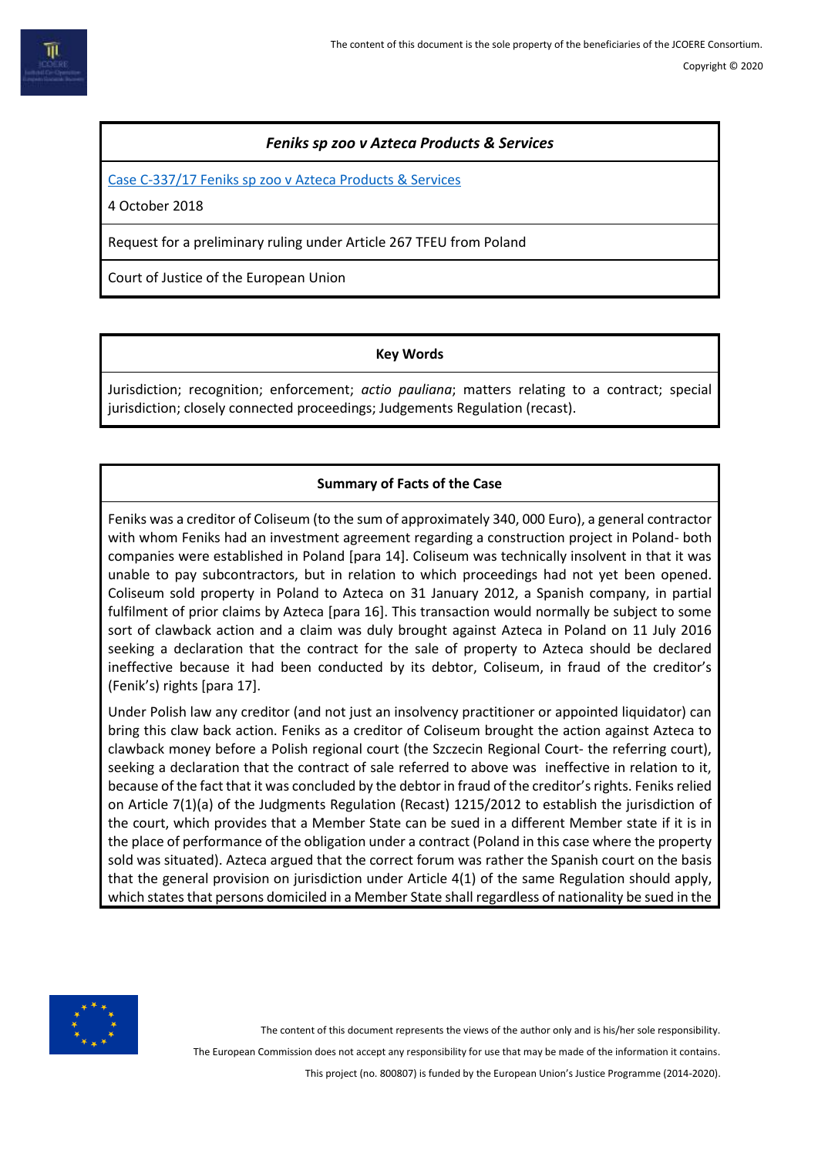## *Feniks sp zoo v Azteca Products & Services*

[Case C-337/17 Feniks sp zoo v Azteca Products & Services](http://curia.europa.eu/juris/document/document.jsf?text=&docid=206435&pageIndex=0&doclang=en&mode=lst&dir=&occ=first&part=1&cid=7976596)

4 October 2018

Request for a preliminary ruling under Article 267 TFEU from Poland

Court of Justice of the European Union

### **Key Words**

Jurisdiction; recognition; enforcement; *actio pauliana*; matters relating to a contract; special jurisdiction; closely connected proceedings; Judgements Regulation (recast).

# **Summary of Facts of the Case**

Feniks was a creditor of Coliseum (to the sum of approximately 340, 000 Euro), a general contractor with whom Feniks had an investment agreement regarding a construction project in Poland- both companies were established in Poland [para 14]. Coliseum was technically insolvent in that it was unable to pay subcontractors, but in relation to which proceedings had not yet been opened. Coliseum sold property in Poland to Azteca on 31 January 2012, a Spanish company, in partial fulfilment of prior claims by Azteca [para 16]. This transaction would normally be subject to some sort of clawback action and a claim was duly brought against Azteca in Poland on 11 July 2016 seeking a declaration that the contract for the sale of property to Azteca should be declared ineffective because it had been conducted by its debtor, Coliseum, in fraud of the creditor's (Fenik's) rights [para 17].

Under Polish law any creditor (and not just an insolvency practitioner or appointed liquidator) can bring this claw back action. Feniks as a creditor of Coliseum brought the action against Azteca to clawback money before a Polish regional court (the Szczecin Regional Court- the referring court), seeking a declaration that the contract of sale referred to above was ineffective in relation to it, because of the fact that it was concluded by the debtor in fraud of the creditor's rights. Feniks relied on Article 7(1)(a) of the Judgments Regulation (Recast) 1215/2012 to establish the jurisdiction of the court, which provides that a Member State can be sued in a different Member state if it is in the place of performance of the obligation under a contract (Poland in this case where the property sold was situated). Azteca argued that the correct forum was rather the Spanish court on the basis that the general provision on jurisdiction under Article 4(1) of the same Regulation should apply, which states that persons domiciled in a Member State shall regardless of nationality be sued in the



The content of this document represents the views of the author only and is his/her sole responsibility.

The European Commission does not accept any responsibility for use that may be made of the information it contains.

This project (no. 800807) is funded by the European Union's Justice Programme (2014-2020).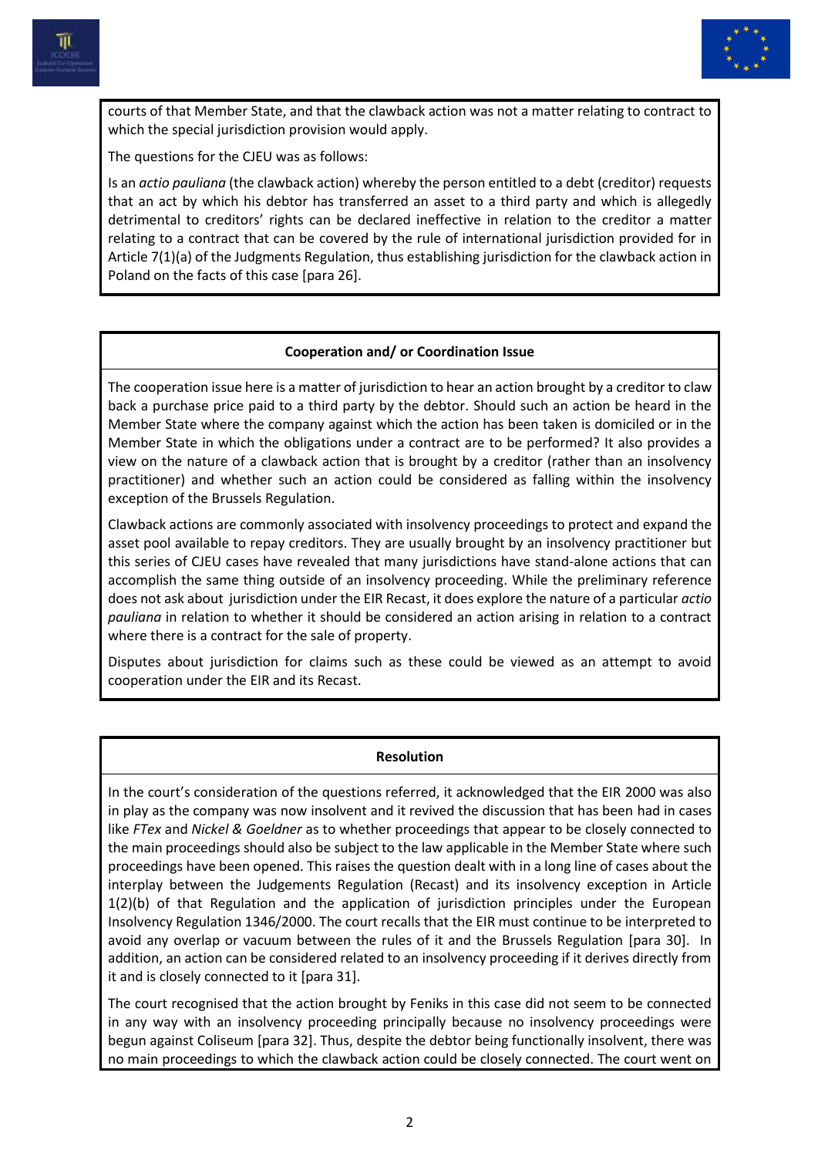



courts of that Member State, and that the clawback action was not a matter relating to contract to which the special jurisdiction provision would apply.

The questions for the CJEU was as follows:

Is an *actio pauliana* (the clawback action) whereby the person entitled to a debt (creditor) requests that an act by which his debtor has transferred an asset to a third party and which is allegedly detrimental to creditors' rights can be declared ineffective in relation to the creditor a matter relating to a contract that can be covered by the rule of international jurisdiction provided for in Article 7(1)(a) of the Judgments Regulation, thus establishing jurisdiction for the clawback action in Poland on the facts of this case [para 26].

### **Cooperation and/ or Coordination Issue**

The cooperation issue here is a matter of jurisdiction to hear an action brought by a creditor to claw back a purchase price paid to a third party by the debtor. Should such an action be heard in the Member State where the company against which the action has been taken is domiciled or in the Member State in which the obligations under a contract are to be performed? It also provides a view on the nature of a clawback action that is brought by a creditor (rather than an insolvency practitioner) and whether such an action could be considered as falling within the insolvency exception of the Brussels Regulation.

Clawback actions are commonly associated with insolvency proceedings to protect and expand the asset pool available to repay creditors. They are usually brought by an insolvency practitioner but this series of CJEU cases have revealed that many jurisdictions have stand-alone actions that can accomplish the same thing outside of an insolvency proceeding. While the preliminary reference does not ask about jurisdiction under the EIR Recast, it does explore the nature of a particular *actio pauliana* in relation to whether it should be considered an action arising in relation to a contract where there is a contract for the sale of property.

Disputes about jurisdiction for claims such as these could be viewed as an attempt to avoid cooperation under the EIR and its Recast.

#### **Resolution**

In the court's consideration of the questions referred, it acknowledged that the EIR 2000 was also in play as the company was now insolvent and it revived the discussion that has been had in cases like *FTex* and *Nickel & Goeldner* as to whether proceedings that appear to be closely connected to the main proceedings should also be subject to the law applicable in the Member State where such proceedings have been opened. This raises the question dealt with in a long line of cases about the interplay between the Judgements Regulation (Recast) and its insolvency exception in Article 1(2)(b) of that Regulation and the application of jurisdiction principles under the European Insolvency Regulation 1346/2000. The court recalls that the EIR must continue to be interpreted to avoid any overlap or vacuum between the rules of it and the Brussels Regulation [para 30]. In addition, an action can be considered related to an insolvency proceeding if it derives directly from it and is closely connected to it [para 31].

The court recognised that the action brought by Feniks in this case did not seem to be connected in any way with an insolvency proceeding principally because no insolvency proceedings were begun against Coliseum [para 32]. Thus, despite the debtor being functionally insolvent, there was no main proceedings to which the clawback action could be closely connected. The court went on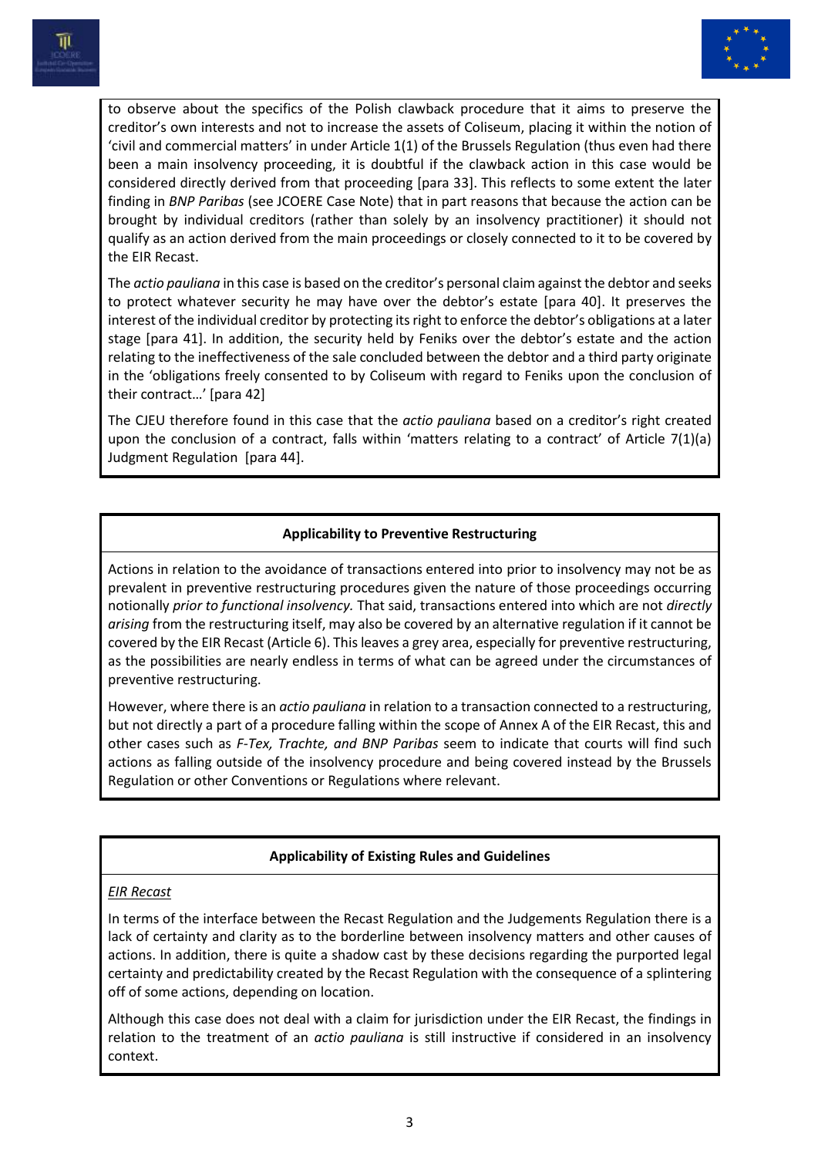



to observe about the specifics of the Polish clawback procedure that it aims to preserve the creditor's own interests and not to increase the assets of Coliseum, placing it within the notion of 'civil and commercial matters' in under Article 1(1) of the Brussels Regulation (thus even had there been a main insolvency proceeding, it is doubtful if the clawback action in this case would be considered directly derived from that proceeding [para 33]. This reflects to some extent the later finding in *BNP Paribas* (see JCOERE Case Note) that in part reasons that because the action can be brought by individual creditors (rather than solely by an insolvency practitioner) it should not qualify as an action derived from the main proceedings or closely connected to it to be covered by the EIR Recast.

The *actio pauliana* in this case is based on the creditor's personal claim against the debtor and seeks to protect whatever security he may have over the debtor's estate [para 40]. It preserves the interest of the individual creditor by protecting its right to enforce the debtor's obligations at a later stage [para 41]. In addition, the security held by Feniks over the debtor's estate and the action relating to the ineffectiveness of the sale concluded between the debtor and a third party originate in the 'obligations freely consented to by Coliseum with regard to Feniks upon the conclusion of their contract…' [para 42]

The CJEU therefore found in this case that the *actio pauliana* based on a creditor's right created upon the conclusion of a contract, falls within 'matters relating to a contract' of Article 7(1)(a) Judgment Regulation [para 44].

### **Applicability to Preventive Restructuring**

Actions in relation to the avoidance of transactions entered into prior to insolvency may not be as prevalent in preventive restructuring procedures given the nature of those proceedings occurring notionally *prior to functional insolvency.* That said, transactions entered into which are not *directly arising* from the restructuring itself, may also be covered by an alternative regulation if it cannot be covered by the EIR Recast (Article 6). This leaves a grey area, especially for preventive restructuring, as the possibilities are nearly endless in terms of what can be agreed under the circumstances of preventive restructuring.

However, where there is an *actio pauliana* in relation to a transaction connected to a restructuring, but not directly a part of a procedure falling within the scope of Annex A of the EIR Recast, this and other cases such as *F-Tex, Trachte, and BNP Paribas* seem to indicate that courts will find such actions as falling outside of the insolvency procedure and being covered instead by the Brussels Regulation or other Conventions or Regulations where relevant.

# **Applicability of Existing Rules and Guidelines**

#### *EIR Recast*

In terms of the interface between the Recast Regulation and the Judgements Regulation there is a lack of certainty and clarity as to the borderline between insolvency matters and other causes of actions. In addition, there is quite a shadow cast by these decisions regarding the purported legal certainty and predictability created by the Recast Regulation with the consequence of a splintering off of some actions, depending on location.

Although this case does not deal with a claim for jurisdiction under the EIR Recast, the findings in relation to the treatment of an *actio pauliana* is still instructive if considered in an insolvency context.